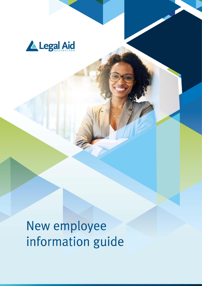

New employee information guide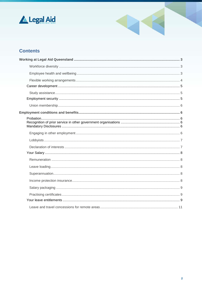



## **Contents**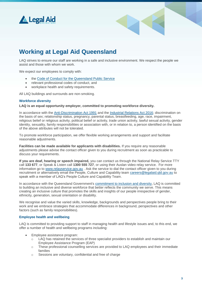



# <span id="page-2-0"></span>**Working at Legal Aid Queensland**

LAQ strives to ensure our staff are working in a safe and inclusive environment. We respect the people we assist and those with whom we work.

We expect our employees to comply with:

- the [Code of Conduct for the Queensland Public Service](https://www.forgov.qld.gov.au/code-conduct-queensland-public-service)
- relevant professional codes of conduct, and
- workplace health and safety requirements.

All LAQ buildings and surrounds are non-smoking.

#### <span id="page-2-1"></span>**Workforce diversity**

**LAQ is an equal opportunity employer, committed to promoting workforce diversity.** 

In accordance with the [Anti-Discrimination Act 1991](https://www.legislation.qld.gov.au/view/html/inforce/current/act-1991-085) and the [Industrial Relations Act 2016;](https://www.legislation.qld.gov.au/view/html/asmade/act-2016-063) discrimination on the basis of sex; relationship status, pregnancy, parental status, breastfeeding, age, race, impairment, religious belief or religious activity, political belief or activity, trade union activity, lawful sexual activity, gender identity, sexuality, family responsibilities or association with, or in relation to, a person identified on the basis of the above attributes will not be tolerated.

To promote workforce participation, we offer flexible working arrangements and support and facilitate reasonable adjustments.

**Facilities can be made available for applicants with disabilities.** If you require any reasonable adjustments please advise the contact officer given to you during recruitment as soon as practicable to discuss your requirements.

**If you are deaf, hearing or speech impaired,** you can contact us through the National Relay Service TTY call **133 677**, or Speak & Listen call **1300 555 727**, or using their Auslan video relay service. For more information go to [www.relayservice.gov.au](http://www.relayservice.gov.au/) . Ask the service to dial the contact officer given to you during recruitment or alternatively email the People, Culture and Capability team [careers@legalaid.qld.gov.au](mailto:human.resourcesteam@legalaid.qld.gov.au) to speak with a member of LAQ's People Culture and Capability Team.

In accordance with the Queensland Government's [commitment to inclusion and diversity,](https://www.forgov.qld.gov.au/inclusion-and-diversity-commitment) LAQ is committed to building an inclusive and diverse workforce that better reflects the community we serve. This means creating an inclusive culture that promotes the skills and insights of our people irrespective of gender, ethnicity, generation, sexual orientation or disability.

We recognise and value the varied skills, knowledge, backgrounds and perspectives people bring to their work and we embrace strategies that accommodate differences in background, perspectives and other factors (such as family responsibilities).

#### <span id="page-2-2"></span>**Employee health and wellbeing**

LAQ is committed to providing support to staff in managing health and lifestyle issues and, to this end, we offer a number of health and wellbeing programs including:

- Employee assistance program:
	- o LAQ has retained the services of three specialist providers to establish and maintain our Employee Assistance Program (EAP)
	- o These professional counselling services are provided to LAQ employees and their immediate families
	- o Sessions are voluntary, confidential and free of charge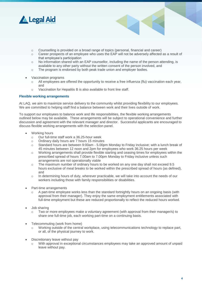

- o Counselling is provided on a broad range of topics (personal, financial and career)
- o Career prospects of an employee who uses the EAP will not be adversely affected as a result of that employee's participation
- $\circ$  No information shared with an EAP counsellor, including the name of the person attending, is available to any other party without the written consent of the person involved, and
- $\circ$  The program is endorsed by both peak trade union and employer bodies.
- Vaccination programs
	- $\circ$  All employees are offered the opportunity to receive a free influenza (flu) vaccination each year, and
	- o Vaccination for Hepatitis B is also available to front line staff.

#### <span id="page-3-0"></span>**Flexible working arrangements**

At LAQ, we aim to maximize service delivery to the community whilst providing flexibility to our employees. We are committed to helping staff find a balance between work and their lives outside of work.

To support our employees to balance work and life responsibilities, the flexible working arrangements outlined below may be available. These arrangements will be subject to operational convenience and further discussion and agreement with the relevant manager and director. Successful applicants are encouraged to discuss flexible working arrangements with the selection panel.

- Working hours
	- o Our full-time staff work a 36.25-hour week
	- o Ordinary daily hours are 7 hours 15 minutes
	- $\circ$  Standard hours are between 9:00am 5.00pm Monday to Friday inclusive; with a lunch break of 45 minutes between 12 noon and 2pm for employees who work 36.25 hours per week
	- o Working arrangements shall provide flexible starting and ceasing times for employees within the prescribed spread of hours 7.00am to 7.00pm Monday to Friday inclusive unless such arrangements are not operationally viable
	- o The maximum number of ordinary hours to be worked on any one day shall not exceed 9.5 hours exclusive of meal breaks to be worked within the prescribed spread of hours (as defined), and
	- o In determining hours of duty, wherever practicable, we will take into account the needs of our workers including those with family responsibilities or disabilities.
- Part-time arrangements
	- $\circ$  A part-time employee works less than the standard fortnightly hours on an ongoing basis (with approval from their manager). They enjoy the same employment entitlements associated with full-time employment but these are reduced proportionally to reflect the reduced hours worked.
- Job sharing
	- $\circ$  Two or more employees make a voluntary agreement (with approval from their manager/s) to share one full-time job, each working part-time on a continuing basis.
- Telecommuting (work from home)
	- Working outside of the central workplace, using telecommunications technology to replace part, or all, of the physical journey to work.
- Discretionary leave without pay
	- o With approval in exceptional circumstances employees may take an approved amount of unpaid leave without pay.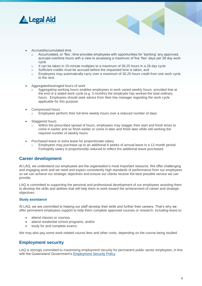<span id="page-4-3"></span>

- Accrued/accumulated time
	- o Accumulated, or 'flex', time provides employees with opportunities for 'banking' any approved, accrued overtime hours with a view to accessing a maximum of five 'flex' days per 28 day work cycle
	- $\circ$  It can be taken in 15-minute multiples to a maximum of 36.25 hours in a 28 day cycle
	- o Sufficient credits must be accrued before the requested time is taken, and
	- o Employees may automatically carry over a maximum of 36.25 hours credit from one work cycle to the next.
- Aggregated/averaged hours of work
	- Aggregating working hours enables employees to work varied weekly hours, provided that at the end of a stated work cycle (e.g. 3 months) the employee has worked the total ordinary hours. Employees should seek advice from their line manager regarding the work cycle applicable for this purpose.
- Compressed hours
	- Employees perform their full-time weekly hours over a reduced number of days.
- Staggered hours
	- Within the prescribed spread of hours, employees may stagger their start and finish times to come in earlier and so finish earlier or come in later and finish later while still working the required number of weekly hours.
- Purchased leave or extra leave for proportionate salary
	- o Employees may purchase up to an additional 6 weeks of annual leave in a 12-month period. Fortnightly salary is proportionally reduced to reflect the additional leave purchased.

### <span id="page-4-0"></span>**Career development**

At LAQ, we understand our employees are the organisation's most important resource. We offer challenging and engaging work and we need and expect consistently high standards of performance from our employees so we can achieve our strategic objectives and ensure our clients receive the best possible service we can provide.

LAQ is committed to supporting the personal and professional development of our employees assisting them to develop the skills and abilities that will help them to work toward the achievement of career and strategic objectives.

#### <span id="page-4-1"></span>**Study assistance**

At LAQ, we are committed to helping our staff develop their skills and further their careers. That's why we offer permanent employees support to help them complete approved courses or research, including leave to:

- attend classes or courses
- attend residential school programs, and/or
- study for and complete exams.

We may also pay some work-related course fees and other costs, depending on the course being studied.

### <span id="page-4-2"></span>**Employment security**

LAQ is strongly committed to maximising employment security for permanent public sector employees, in line with the Queensland Government's **Employment Security Policy.**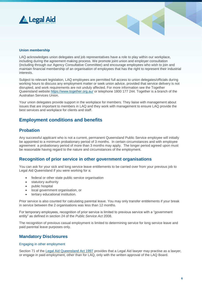



#### **Union membership**

LAQ acknowledges union delegates and job representatives have a role to play within our workplace, including during the agreement making process. We promote joint union and employer consultation (including through our Agency Consultative Committee) and encourage employees who wish to join and maintain financial membership of an organisation of employees that has the right to represent their industrial interests.

Subject to relevant legislation, LAQ employees are permitted full access to union delegates/officials during working hours to discuss any employment matter or seek union advice, provided that service delivery is not disrupted, and work requirements are not unduly affected. For more information see the Together Queensland website<https://www.together.org.au/> or telephone 1800 177 244. Together is a branch of the Australian Services Union.

Your union delegates provide support in the workplace for members. They liaise with management about issues that are important to members in LAQ and they work with management to ensure LAQ provide the best services and workplace for clients and staff.

### <span id="page-5-0"></span>**Employment conditions and benefits**

### <span id="page-5-1"></span>**Probation**

Any successful applicant who is not a current, permanent Queensland Public Service employee will initially be appointed to a minimum probationary period of 3 months. In certain circumstances and with employee agreement a probationary period of more than 3 months may apply. The longer period agreed upon must be reasonable having regard to the nature and circumstances of the employment.

### <span id="page-5-2"></span>**Recognition of prior service in other government organisations**

You can ask for your sick and long service leave entitlements to be carried over from your previous job to Legal Aid Queensland if you were working for a:

- federal or other state public service organisation
- statutory authority
- public hospital
- local government organisation, or
- tertiary educational institution.

Prior service is also counted for calculating parental leave. You may only transfer entitlements if your break in service between the 2 organisations was less than 12 months.

For temporary employees, recognition of prior service is limited to previous service with a "government entity" as defined in section 24 of the *Public Service Act* 2008.

The recognition of previous casual employment is limited to determining service for long service leave and paid parental leave purposes only.

### <span id="page-5-3"></span>**Mandatory Disclosures**

#### <span id="page-5-4"></span>Engaging in other employment

Section 71 of the [Legal Aid Queensland Act 1997](http://www5.austlii.edu.au/au/legis/qld/consol_act/laqa1997166/) provides that a Legal Aid lawyer may practise as a lawyer. or engage in paid employment, other than for LAQ, only with the written approval of the LAQ Board.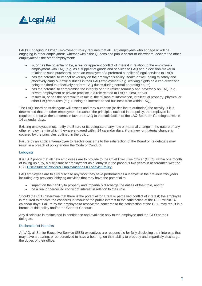

LAQ's Engaging in Other Employment Policy requires that all LAQ employees who engage or will be engaging in other employment, whether within the Queensland public sector or elsewhere, declare the other employment if the other employment:

- is, or has the potential to be, a real or apparent conflict of interest in relation to the employee's employment with LAQ (e.g. as a supplier of goods and services to LAQ and a decision-maker in relation to such purchases, or as an employee of a preferred supplier of legal services to LAQ)
- has the potential to impact adversely on the employee's ability, health or well-being to safely and effectively carry out official duties in their LAQ employment (e.g. working nights as a cab driver and being too tired to effectively perform LAQ duties during normal operating hours)
- has the potential to compromise the integrity of or to reflect seriously and adversely on LAQ (e.g. private employment or private practice in a role related to LAQ duties), and/or
- results in, or has the potential to result in, the misuse of information, intellectual property, physical or other LAQ resources (e.g. running an internet-based business from within LAQ).

The LAQ Board or its delegate will assess and may authorise (or decline to authorise) the activity. If it is determined that the other employment breaches the principles outlined in the policy, the employee is required to resolve the concerns in favour of LAQ to the satisfaction of the LAQ Board or it's delegate within 14 calendar days.

Existing employees must notify the Board or its delegate of any new or material change in the nature of any other employment in which they are engaged within 14 calendar days, if that new or material change is covered by the principles outlined in the policy.

Failure by an applicant/employee to resolve concerns to the satisfaction of the Board or its delegate may result in a breach of policy and/or the Code of Conduct.

#### <span id="page-6-0"></span>Lobbyists

It is LAQ policy that all new employees are to provide to the Chief Executive Officer (CEO), within one month of taking up duty, a disclosure of employment as a lobbyist in the previous two years in accordance with the PSC [Disclosure of Previous Employment as a Lobbyist Policy.](https://www.forgov.qld.gov.au/documents/policy/lobbyist-disclosure)

LAQ employees are to fully disclose any work they have performed as a lobbyist in the previous two years including any previous lobbying activities that may have the potential to:

- impact on their ability to properly and impartially discharge the duties of their role, and/or
- be a real or perceived conflict of interest in relation to their role.

Should the CEO determine that there is the potential for a real or perceived conflict of interest; the employee is required to resolve the concerns in favour of the public interest to the satisfaction of the CEO within 14 calendar days. Failure by the employee to resolve the concerns to the satisfaction of the CEO may result in a breach of this policy and/or the Code of Conduct.

Any disclosure is maintained in confidence and available only to the employee and the CEO or their delegate.

#### <span id="page-6-1"></span>Declaration of interests

At LAQ, all Senior Executive Service (SES) executives are responsible for fully disclosing their interests that may have a bearing, or be perceived to have a bearing, on their ability to properly and impartially discharge the duties of their office.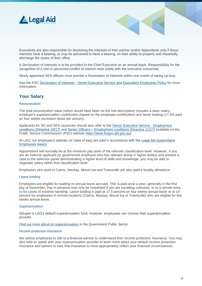



Executives are also responsible for disclosing the interests of their partner and/or dependents only if those interests have a bearing, or may be perceived to have a bearing, on their ability to properly and impartially discharge the duties of their office.

A Declaration of Interests is to be provided to the Chief Executive on an annual basis. Responsibility for the recognition of a real or perceived conflict of interest rests solely with the executive concerned.

Newly appointed SES officers must provide a Declaration of Interests within one month of taking up duty.

See the PSC Declaration of Interests - [Senior Executive Service and](https://www.forgov.qld.gov.au/documents/policy/declaration-interests-senior-executives-and-equivalent-employees) Equivalent Employees Policy for more information.

## <span id="page-7-0"></span>**Your Salary**

#### <span id="page-7-1"></span>**Remuneration**

The total remuneration value (which would have been on the role description) includes a base salary, employer's superannuation contribution (based on the employee contribution) and leave loading (17.5% paid on four weeks recreation leave per annum).

Applicants for SO and SES vacancies should also refer to the Senior [Executive Service -](https://www.forgov.qld.gov.au/documents/directive/1017/senior-executive-service-employment-conditions) Employment [conditions \(Directive 10/17\)](https://www.forgov.qld.gov.au/documents/directive/1017/senior-executive-service-employment-conditions) and Senior Officers – [Employment conditions \(Directive 11/17\)](https://www.forgov.qld.gov.au/documents/directive/1117/senior-officers-employment-conditions) available on the [Public Service Commisssion](https://www.forgov.qld.gov.au/) (PSC) website [https://www.forgov.qld.gov.au\)](https://www.forgov.qld.gov.au/).

At LAQ, our employee's salaries (or rates of pay) are paid in accordance with the [Legal Aid Queensland](https://www.qirc.qld.gov.au/sites/default/files/legal_aid_queensland_employees_swc18.pdf?v=1542542867)  [Employees Award.](https://www.qirc.qld.gov.au/sites/default/files/legal_aid_queensland_employees_swc18.pdf?v=1542542867)

Appointment will normally be at the minimum pay point of the relevant classification level. However, if you are an external applicant (or government employee who has relevant acting in higher duties) and present a case to the selection panel demonstrating a higher level of skills and knowledge, you may be able to negotiate salary within that classification level.

Employees who work in Cairns, Mackay, Mount Isa and Townsville are also paid a locality allowance.

#### <span id="page-7-2"></span>Leave loading

Employees are eligible for loading on annual leave accrued. This is paid once a year, generally in the first pay of December. Pay in advance may only be requested if you are travelling overseas, or to a remote area, or for cases of extreme hardship. Leave loading is paid at 17.5 percent on four weeks annual leave or at 14 percent for employees in remote locations (Cairns, Mackay, Mount Isa or Townsville) who are eligible for five weeks annual leave.

#### <span id="page-7-3"></span>**Superannuation**

QSuper is LAQ's default superannuation fund, however, employees can choose their superannuation provider.

Find out more about [on superannuation](https://www.forgov.qld.gov.au/superannuation) in the Queensland Public Sector.

#### <span id="page-7-4"></span>Income protection insurance

We advise employees to talk to a financial adviser to understand their income protection insurance. You may also wish to speak with your superannuation provider to learn more about your default income protection insurance and options to vary that insurance to more appropriately reflect your financial circumstances.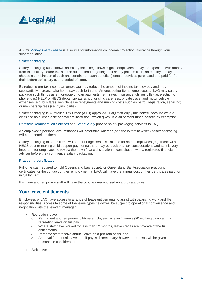

ASIC's [MoneySmart website](https://www.moneysmart.gov.au/superannuation-and-retirement/how-super-works/insurance-through-super) is a source for information on income protection insurance through your superannuation.

#### <span id="page-8-0"></span>Salary packaging

Salary packaging (also known as 'salary sacrifice') allows eligible employees to pay for expenses with money from their salary before tax is taken out. Instead of getting their salary paid as cash, an employee may choose a combination of cash and certain non-cash benefits (items or services purchased and paid for from their 'before tax' salary over a period of time).

By reducing pre-tax income an employee may reduce the amount of income tax they pay and may substantially increase take home pay each fortnight. Amongst other items, employees at LAQ may salary package such things as a mortgage or loan payments, rent, rates, insurance, utilities bills (i.e. electricity, phone, gas) HELP or HECS debts, private school or child care fees, private travel and motor vehicle expenses (e.g. bus fares, vehicle lease repayments and running costs such as petrol, registration, servicing), or membership fees (i.e. gyms, clubs).

Salary packaging is Australian Tax Office (ATO) approved. LAQ staff enjoy this benefit because we are classified as a 'charitable benevolent institution', which gives us a 30 percent fringe benefit tax exemption.

[Remserv Remuneration Services](http://www.remserv.com.au/) and [SmartSalary](http://www.qldsmartsalary.com.au/) provide salary packaging services to LAQ.

An employee's personal circumstances will determine whether (and the extent to which) salary packaging will be of benefit to them.

Salary packaging of some items will attract Fringe Benefits Tax and for some employees (e.g. those with a HECS debt or making child support payments) there may be additional tax considerations and so it is very important for employees to review their own financial situation in consultation with a registered financial adviser before they commence salary packaging.

#### <span id="page-8-1"></span>**Practising certificates**

Full-time staff required to hold Queensland Law Society or Queensland Bar Association practicing certificates for the conduct of their employment at LAQ, will have the annual cost of their certificates paid for in full by LAQ.

Part-time and temporary staff will have the cost paid/reimbursed on a pro-rata basis.

### <span id="page-8-2"></span>**Your leave entitlements**

Employees of LAQ have access to a range of leave entitlements to assist with balancing work and life responsibilities. Access to some of the leave types below will be subject to operational convenience and negotiation with the relevant manager:

- Recreation leave
	- o Permanent and temporary full-time employees receive 4 weeks (20 working days) annual recreation leave on full pay
	- o Where staff have worked for less than 12 months, leave credits are pro-rata of the full entitlements
	- o Part-time staff receive annual leave on a pro-rata basis, and
	- $\circ$  Approval for annual leave at half pay is discretionary; however, requests will be given reasonable consideration.
- Sick leave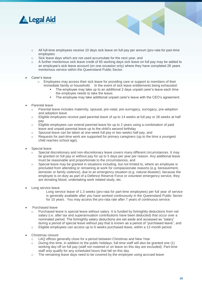

- o All full-time employees receive 10 days sick leave on full pay per annum (pro-rata for part-time employees
- o Sick leave days which are not used accumulate for the next year, and
- o A further meritorious sick leave credit of 65 working days sick leave on full pay may be added to an employee's sick leave account (on one occasion only) where they have completed 26 years meritorious service within the Queensland Public Sector.
- Carer's leave
	- o Employees may access their sick leave for providing care or support to members of their immediate family or household. In the event of sick leave entitlements being exhausted:
		- The employee may take up to an additional 2 days unpaid carer's leave each time the employee needs to take the leave;
		- **•** The employee may take additional unpaid carer's leave with the CEO's agreement.
- Parental leave
	- Parental leave includes maternity, spousal, pre-natal, pre-surrogacy, surrogacy, pre-adoption and adoption leave
	- o Eligible employees receive paid parental leave of up to 14 weeks at full pay or 28 weeks at half pay
	- o Eligible employees can extend parental leave for up to 2 years using a combination of paid leave and unpaid parental leave up to the child's second birthday
	- o Spousal leave can be taken at one-week full pay or two weeks half pay, and
	- $\circ$  Requests for part-time work are supported for primary caregivers (up to the time a youngest child reaches school age).
- Special leave
	- $\circ$  Special discretionary and non-discretionary leave covers many different circumstances. It may be granted on full pay or without pay for up to 5 days per year per reason. Any additional leave must be reasonable and proportionate to the circumstances, and
	- $\circ$  Special leave may be granted in situations including, but not limited to, where an employee is precluded from attending or remaining at work for compassionate reasons (e.g. bereavement, domestic or family violence), due to an emergency situation (e.g. natural disaster), because the employee is on duty as part of a Defence Reserve Force or volunteer emergency service, they are donating blood, undertaking work related study, etc.
- Long service leave
	- Long service leave of 1.3 weeks (pro-rata for part-time employees) per full year of service is generally available after you have worked continuously in the Queensland Public Sector for 10 years. You may access the pro-rata rate after 7 years of continuous service.
- Purchased leave
	- o Purchased leave is special leave without salary. It is funded by fortnightly deductions from net salary (i.e. after tax and superannuation contributions have been deducted) that occur over a nominated period. The fortnightly salary deductions are set aside and accessed as "salary" during a period of special leave without pay that is known as a period of "purchased leave", and
	- $\circ$  Eligible employees can access up to 6 weeks purchased leave, within a 12-month period.
- Christmas closure
	- LAQ offices generally close for a period between Christmas and New Year
	- $\circ$  During this time, in addition to the public holidays, full-time staff will also be granted one (1) working day off on full pay (staff not rostered or on leave on this day are excluded). Part-time staff only qualify for any scheduled hours that fall on this day
	- o The remaining leave days need to be covered by the employee using accrued leave